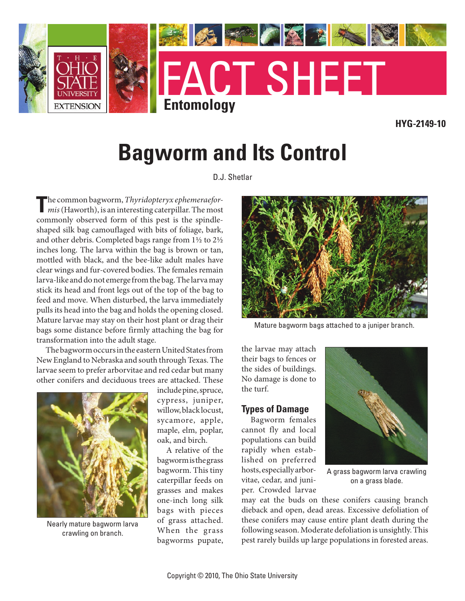

**HYG-2149-10**

# **Bagworm and Its Control**

D.J. Shetlar

**T**he common bagworm, *Thyridopteryx ephemeraefor-mis* (Haworth), is an interesting caterpillar. The most commonly observed form of this pest is the spindleshaped silk bag camouflaged with bits of foliage, bark, and other debris. Completed bags range from 1½ to 2½ inches long. The larva within the bag is brown or tan, mottled with black, and the bee-like adult males have clear wings and fur-covered bodies. The females remain larva-like and do not emerge from the bag. The larva may stick its head and front legs out of the top of the bag to feed and move. When disturbed, the larva immediately pulls its head into the bag and holds the opening closed. Mature larvae may stay on their host plant or drag their bags some distance before firmly attaching the bag for transformation into the adult stage.

The bagworm occurs in the eastern United States from New England to Nebraska and south through Texas. The larvae seem to prefer arborvitae and red cedar but many other conifers and deciduous trees are attacked. These



Nearly mature bagworm larva crawling on branch.

include pine, spruce, cypress, juniper, willow, black locust, sycamore, apple, maple, elm, poplar, oak, and birch.

A relative of the bagworm is the grass bagworm. This tiny caterpillar feeds on grasses and makes one-inch long silk bags with pieces of grass attached. When the grass bagworms pupate,



Mature bagworm bags attached to a juniper branch.

the larvae may attach their bags to fences or the sides of buildings. No damage is done to the turf.

#### **Types of Damage**

Bagworm females cannot fly and local populations can build rapidly when established on preferred hosts, especially arborvitae, cedar, and juniper. Crowded larvae



A grass bagworm larva crawling on a grass blade.

may eat the buds on these conifers causing branch dieback and open, dead areas. Excessive defoliation of these conifers may cause entire plant death during the following season. Moderate defoliation is unsightly. This pest rarely builds up large populations in forested areas.